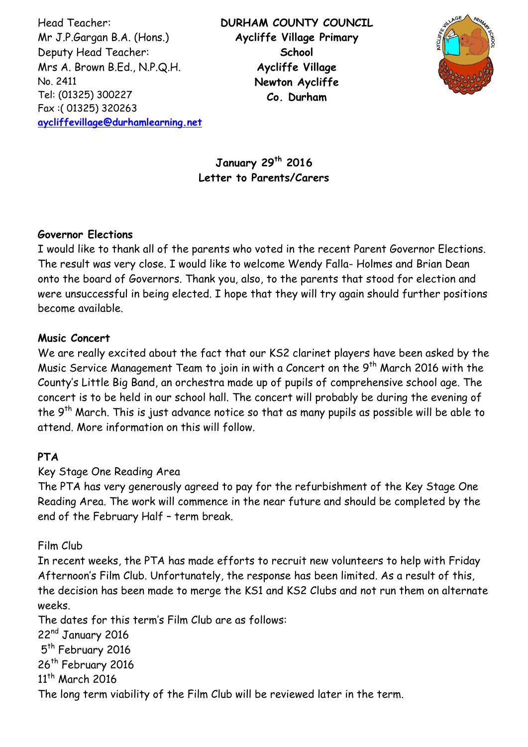Head Teacher: Mr J.P.Gargan B.A. (Hons.) Deputy Head Teacher: Mrs A. Brown B.Ed., N.P.Q.H. No. 2411 Tel: (01325) 300227 Fax :( 01325) 320263 **[aycliffevillage@durhamlearning.net](mailto:aycliffevillage@durhamlearning.net)** **DURHAM COUNTY COUNCIL Aycliffe Village Primary School Aycliffe Village Newton Aycliffe Co. Durham**



**January 29th 2016 Letter to Parents/Carers**

### **Governor Elections**

I would like to thank all of the parents who voted in the recent Parent Governor Elections. The result was very close. I would like to welcome Wendy Falla- Holmes and Brian Dean onto the board of Governors. Thank you, also, to the parents that stood for election and were unsuccessful in being elected. I hope that they will try again should further positions become available.

### **Music Concert**

We are really excited about the fact that our KS2 clarinet players have been asked by the Music Service Management Team to join in with a Concert on the 9<sup>th</sup> March 2016 with the County's Little Big Band, an orchestra made up of pupils of comprehensive school age. The concert is to be held in our school hall. The concert will probably be during the evening of the 9<sup>th</sup> March. This is just advance notice so that as many pupils as possible will be able to attend. More information on this will follow.

## **PTA**

## Key Stage One Reading Area

The PTA has very generously agreed to pay for the refurbishment of the Key Stage One Reading Area. The work will commence in the near future and should be completed by the end of the February Half – term break.

## Film Club

In recent weeks, the PTA has made efforts to recruit new volunteers to help with Friday Afternoon's Film Club. Unfortunately, the response has been limited. As a result of this, the decision has been made to merge the KS1 and KS2 Clubs and not run them on alternate weeks.

The dates for this term's Film Club are as follows:

22<sup>nd</sup> January 2016 5<sup>th</sup> February 2016 26<sup>th</sup> February 2016 11<sup>th</sup> March 2016 The long term viability of the Film Club will be reviewed later in the term.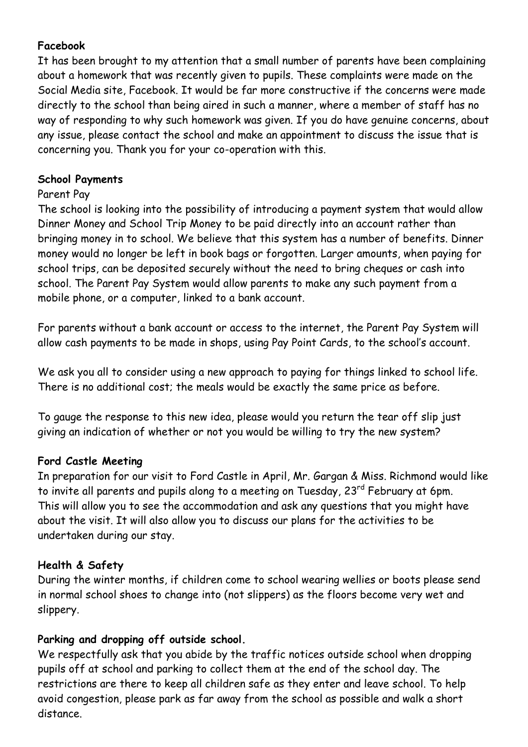# **Facebook**

It has been brought to my attention that a small number of parents have been complaining about a homework that was recently given to pupils. These complaints were made on the Social Media site, Facebook. It would be far more constructive if the concerns were made directly to the school than being aired in such a manner, where a member of staff has no way of responding to why such homework was given. If you do have genuine concerns, about any issue, please contact the school and make an appointment to discuss the issue that is concerning you. Thank you for your co-operation with this.

## **School Payments**

### Parent Pay

The school is looking into the possibility of introducing a payment system that would allow Dinner Money and School Trip Money to be paid directly into an account rather than bringing money in to school. We believe that this system has a number of benefits. Dinner money would no longer be left in book bags or forgotten. Larger amounts, when paying for school trips, can be deposited securely without the need to bring cheques or cash into school. The Parent Pay System would allow parents to make any such payment from a mobile phone, or a computer, linked to a bank account.

For parents without a bank account or access to the internet, the Parent Pay System will allow cash payments to be made in shops, using Pay Point Cards, to the school's account.

We ask you all to consider using a new approach to paying for things linked to school life. There is no additional cost; the meals would be exactly the same price as before.

To gauge the response to this new idea, please would you return the tear off slip just giving an indication of whether or not you would be willing to try the new system?

#### **Ford Castle Meeting**

In preparation for our visit to Ford Castle in April, Mr. Gargan & Miss. Richmond would like to invite all parents and pupils along to a meeting on Tuesday, 23<sup>rd</sup> February at 6pm. This will allow you to see the accommodation and ask any questions that you might have about the visit. It will also allow you to discuss our plans for the activities to be undertaken during our stay.

#### **Health & Safety**

During the winter months, if children come to school wearing wellies or boots please send in normal school shoes to change into (not slippers) as the floors become very wet and slippery.

## **Parking and dropping off outside school.**

We respectfully ask that you abide by the traffic notices outside school when dropping pupils off at school and parking to collect them at the end of the school day. The restrictions are there to keep all children safe as they enter and leave school. To help avoid congestion, please park as far away from the school as possible and walk a short distance.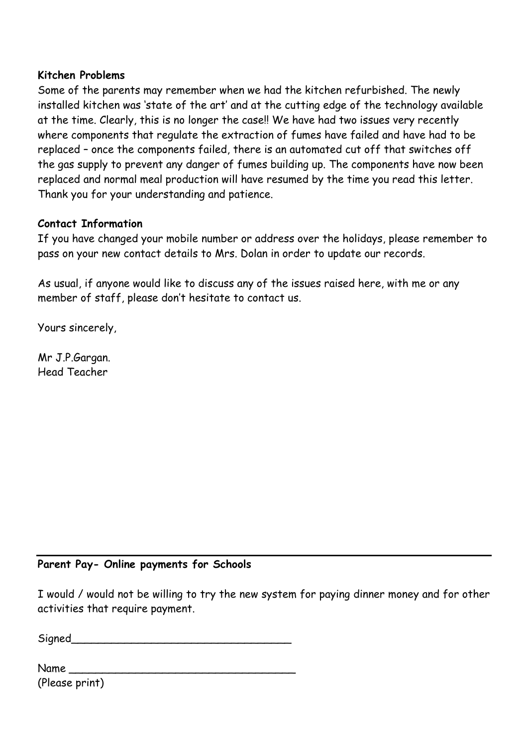#### **Kitchen Problems**

Some of the parents may remember when we had the kitchen refurbished. The newly installed kitchen was 'state of the art' and at the cutting edge of the technology available at the time. Clearly, this is no longer the case!! We have had two issues very recently where components that regulate the extraction of fumes have failed and have had to be replaced – once the components failed, there is an automated cut off that switches off the gas supply to prevent any danger of fumes building up. The components have now been replaced and normal meal production will have resumed by the time you read this letter. Thank you for your understanding and patience.

### **Contact Information**

If you have changed your mobile number or address over the holidays, please remember to pass on your new contact details to Mrs. Dolan in order to update our records.

As usual, if anyone would like to discuss any of the issues raised here, with me or any member of staff, please don't hesitate to contact us.

Yours sincerely,

Mr J.P.Gargan. Head Teacher

#### **Parent Pay- Online payments for Schools**

I would / would not be willing to try the new system for paying dinner money and for other activities that require payment.

Signed **Signed** 

Name \_\_\_\_\_\_\_\_\_\_\_\_\_\_\_\_\_\_\_\_\_\_\_\_\_\_\_\_\_\_\_\_\_\_ (Please print)